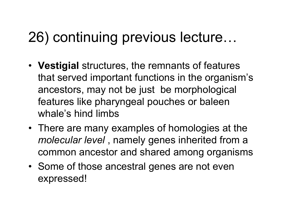## 26) continuing previous lecture…

- **Vestigial** structures, the remnants of features that served important functions in the organism's ancestors, may not be just be morphological features like pharyngeal pouches or baleen whale's hind limbs
- There are many examples of homologies at the *molecular level* , namely genes inherited from a common ancestor and shared among organisms
- Some of those ancestral genes are not even expressed!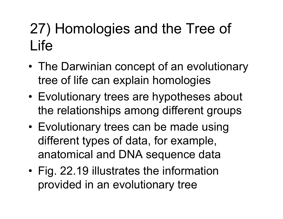## 27) Homologies and the Tree of Life

- The Darwinian concept of an evolutionary tree of life can explain homologies
- Evolutionary trees are hypotheses about the relationships among different groups
- Evolutionary trees can be made using different types of data, for example, anatomical and DNA sequence data
- Fig. 22.19 illustrates the information provided in an evolutionary tree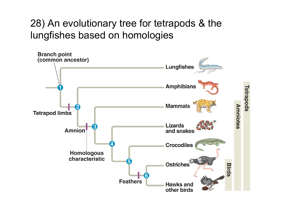#### 28) An evolutionary tree for tetrapods & the lungfishes based on homologies

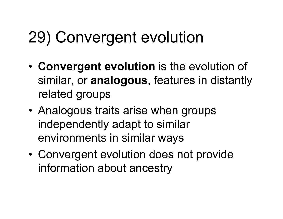# 29) Convergent evolution

- **Convergent evolution** is the evolution of similar, or **analogous**, features in distantly related groups
- Analogous traits arise when groups independently adapt to similar environments in similar ways
- Convergent evolution does not provide information about ancestry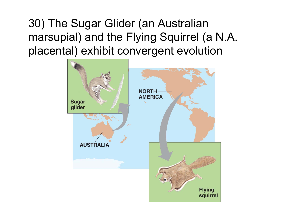30) The Sugar Glider (an Australian marsupial) and the Flying Squirrel (a N.A. placental) exhibit convergent evolution

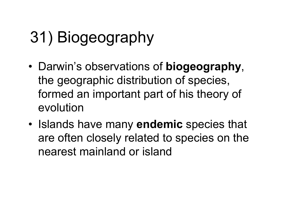# 31) Biogeography

- Darwin's observations of **biogeography**, the geographic distribution of species, formed an important part of his theory of evolution
- Islands have many **endemic** species that are often closely related to species on the nearest mainland or island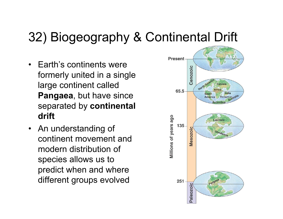### 32) Biogeography & Continental Drift

- Earth's continents were formerly united in a single large continent called **Pangaea**, but have since separated by **continental drift**
- An understanding of continent movement and modern distribution of species allows us to predict when and where different groups evolved

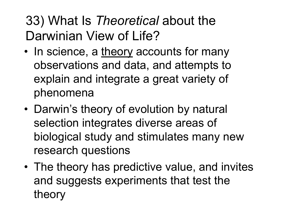### 33) What Is *Theoretical* about the Darwinian View of Life?

- In science, a theory accounts for many observations and data, and attempts to explain and integrate a great variety of phenomena
- Darwin's theory of evolution by natural selection integrates diverse areas of biological study and stimulates many new research questions
- The theory has predictive value, and invites and suggests experiments that test the theory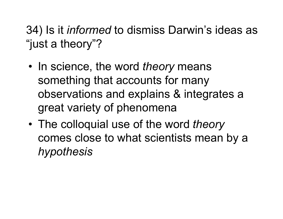34) Is it *informed* to dismiss Darwin's ideas as "just a theory"?

- In science, the word *theory* means something that accounts for many observations and explains & integrates a great variety of phenomena
- The colloquial use of the word *theory* comes close to what scientists mean by a *hypothesis*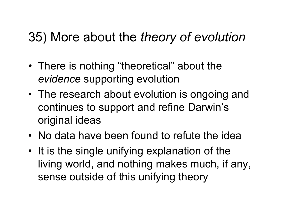### 35) More about the *theory of evolution*

- There is nothing "theoretical" about the *evidence* supporting evolution
- The research about evolution is ongoing and continues to support and refine Darwin's original ideas
- No data have been found to refute the idea
- It is the single unifying explanation of the living world, and nothing makes much, if any, sense outside of this unifying theory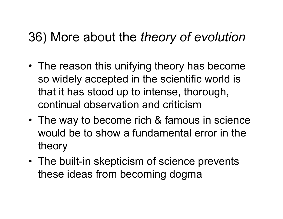### 36) More about the *theory of evolution*

- The reason this unifying theory has become so widely accepted in the scientific world is that it has stood up to intense, thorough, continual observation and criticism
- The way to become rich & famous in science would be to show a fundamental error in the theory
- The built-in skepticism of science prevents these ideas from becoming dogma